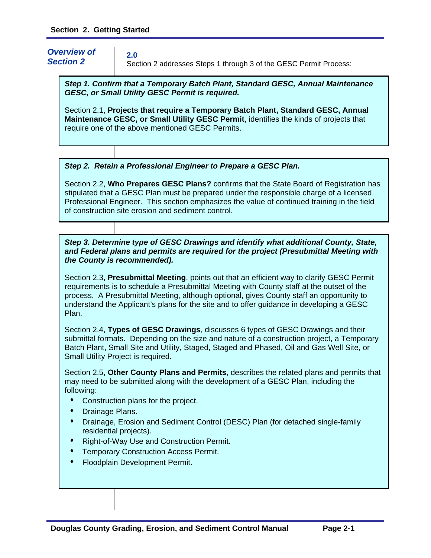*Overview of Section 2* 

**2.0**

Section 2 addresses Steps 1 through 3 of the GESC Permit Process:

*Step 1. Confirm that a Temporary Batch Plant, Standard GESC, Annual Maintenance GESC, or Small Utility GESC Permit is required.* 

Section 2.1, **Projects that require a Temporary Batch Plant, Standard GESC, Annual Maintenance GESC, or Small Utility GESC Permit**, identifies the kinds of projects that require one of the above mentioned GESC Permits.

#### *Step 2. Retain a Professional Engineer to Prepare a GESC Plan.*

Section 2.2, **Who Prepares GESC Plans?** confirms that the State Board of Registration has stipulated that a GESC Plan must be prepared under the responsible charge of a licensed Professional Engineer. This section emphasizes the value of continued training in the field of construction site erosion and sediment control.

#### *Step 3. Determine type of GESC Drawings and identify what additional County, State, and Federal plans and permits are required for the project (Presubmittal Meeting with the County is recommended).*

Section 2.3, **Presubmittal Meeting**, points out that an efficient way to clarify GESC Permit requirements is to schedule a Presubmittal Meeting with County staff at the outset of the process. A Presubmittal Meeting, although optional, gives County staff an opportunity to understand the Applicant's plans for the site and to offer guidance in developing a GESC Plan.

Section 2.4, **Types of GESC Drawings**, discusses 6 types of GESC Drawings and their submittal formats. Depending on the size and nature of a construction project, a Temporary Batch Plant, Small Site and Utility, Staged, Staged and Phased, Oil and Gas Well Site, or Small Utility Project is required.

Section 2.5, **Other County Plans and Permits**, describes the related plans and permits that may need to be submitted along with the development of a GESC Plan, including the following:

- Construction plans for the project.
- ◆ Drainage Plans.
- Drainage, Erosion and Sediment Control (DESC) Plan (for detached single-family residential projects).
- Right-of-Way Use and Construction Permit.
- Temporary Construction Access Permit.
- Floodplain Development Permit.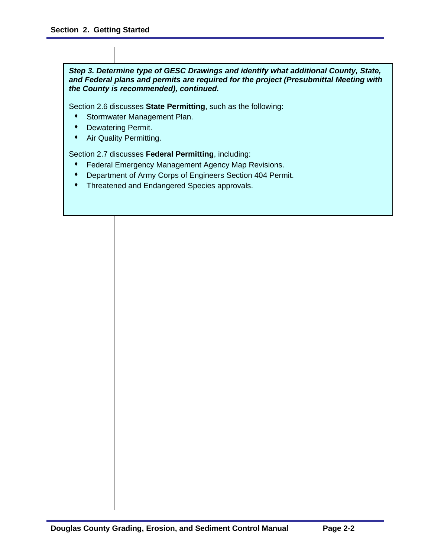*Step 3. Determine type of GESC Drawings and identify what additional County, State, and Federal plans and permits are required for the project (Presubmittal Meeting with the County is recommended), continued.* 

Section 2.6 discusses **State Permitting**, such as the following:

- Stormwater Management Plan.
- Dewatering Permit.
- **\*** Air Quality Permitting.

Section 2.7 discusses **Federal Permitting**, including:

- Federal Emergency Management Agency Map Revisions.
- Department of Army Corps of Engineers Section 404 Permit.
- Threatened and Endangered Species approvals.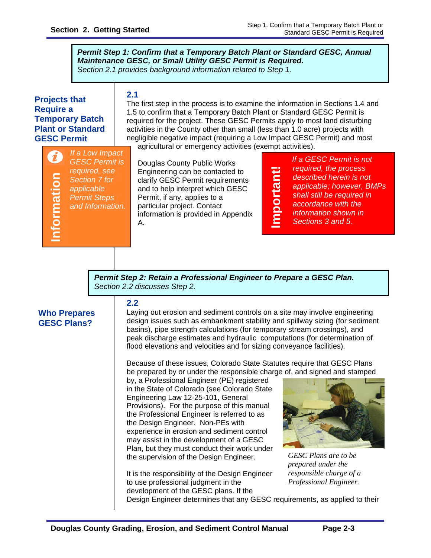*Permit Step 1: Confirm that a Temporary Batch Plant or Standard GESC, Annual Maintenance GESC, or Small Utility GESC Permit is Required. Section 2.1 provides background information related to Step 1.* 

# **Projects that Require a Temporary Batch Plant or Standard GESC Permit**

#### **2.1**

The first step in the process is to examine the information in Sections 1.4 and 1.5 to confirm that a Temporary Batch Plant or Standard GESC Permit is required for the project. These GESC Permits apply to most land disturbing activities in the County other than small (less than 1.0 acre) projects with negligible negative impact (requiring a Low Impact GESC Permit) and most agricultural or emergency activities (exempt activities).

**GESC Plans?**<br> **GESC Plans?**<br> **INFORMATION CONSIDER**<br> **CESC Plans?** *If a Low Impact GESC Permit is required, see Section 7 for applicable Permit Steps and Information.* 

Douglas County Public Works Engineering can be contacted to clarify GESC Permit requirements and to help interpret which GESC Permit, if any, applies to a particular project. Contact information is provided in Appendix A.

<u>E</u> **portant!** 

*If a GESC Permit is not required, the process described herein is not applicable; however, BMPs shall still be required in accordance with the information shown in* 

*Sections 3 and 5.* 

*Permit Step 2: Retain a Professional Engineer to Prepare a GESC Plan. Section 2.2 discusses Step 2.* 

# **Who Prepares**

#### **2.2**

Laying out erosion and sediment controls on a site may involve engineering design issues such as embankment stability and spillway sizing (for sediment basins), pipe strength calculations (for temporary stream crossings), and peak discharge estimates and hydraulic computations (for determination of flood elevations and velocities and for sizing conveyance facilities).

Because of these issues, Colorado State Statutes require that GESC Plans be prepared by or under the responsible charge of, and signed and stamped

by, a Professional Engineer (PE) registered in the State of Colorado (see Colorado State Engineering Law 12-25-101, General Provisions). For the purpose of this manual the Professional Engineer is referred to as the Design Engineer. Non-PEs with experience in erosion and sediment control may assist in the development of a GESC Plan, but they must conduct their work under the supervision of the Design Engineer.

It is the responsibility of the Design Engineer to use professional judgment in the development of the GESC plans. If the



*GESC Plans are to be prepared under the responsible charge of a Professional Engineer.* 

Design Engineer determines that any GESC requirements, as applied to their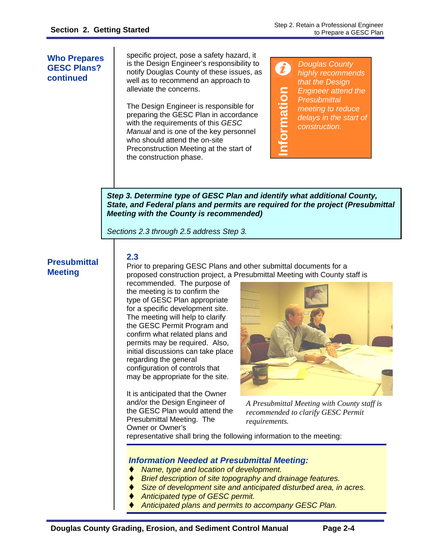**Who Prepares GESC Plans? continued** 

specific project, pose a safety hazard, it is the Design Engineer's responsibility to notify Douglas County of these issues, as well as to recommend an approach to alleviate the concerns.

The Design Engineer is responsible for preparing the GESC Plan in accordance with the requirements of this *GESC Manual* and is one of the key personnel who should attend the on-site Preconstruction Meeting at the start of the construction phase.

0 *Douglas County highly recommends that the Design*  **Information**  nformation *Engineer attend the Presubmittal meeting to reduce delays in the start of construction.* 

*Step 3. Determine type of GESC Plan and identify what additional County, State, and Federal plans and permits are required for the project (Presubmittal Meeting with the County is recommended)* 

*Sections 2.3 through 2.5 address Step 3.* 

# **Presubmittal Meeting**

**2.3**  Prior to preparing GESC Plans and other submittal documents for a proposed construction project, a Presubmittal Meeting with County staff is

recommended. The purpose of the meeting is to confirm the type of GESC Plan appropriate for a specific development site. The meeting will help to clarify the GESC Permit Program and confirm what related plans and permits may be required. Also, initial discussions can take place regarding the general configuration of controls that may be appropriate for the site.

It is anticipated that the Owner and/or the Design Engineer of the GESC Plan would attend the Presubmittal Meeting. The Owner or Owner's



*A Presubmittal Meeting with County staff is recommended to clarify GESC Permit requirements.*

representative shall bring the following information to the meeting:

#### *Information Needed at Presubmittal Meeting:*

- *Name, type and location of development.*
- *Brief description of site topography and drainage features.*
- *Size of development site and anticipated disturbed area, in acres.*
- *Anticipated type of GESC permit.*
- *Anticipated plans and permits to accompany GESC Plan.*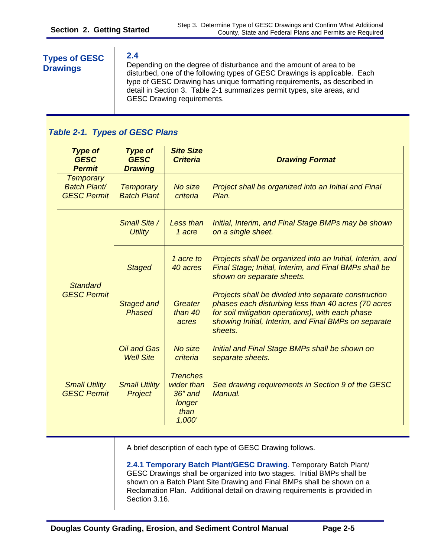#### **T 2.4 ypes of GESC Drawings** Depending on the degree of disturbance and the amount of area to be disturbed, one of the following types of GESC Drawings is applicable. Each type of GESC Drawing has unique formatting requirements, as described in detail in Section 3. Table 2-1 summarizes permit types, site areas, and GESC Drawing requirements.

# *Table 2-1. Types of GESC Plans*

| <b>Type of</b><br><b>GESC</b><br><b>Permit</b>                | <b>Type of</b><br><b>GESC</b><br><b>Drawing</b> | <b>Site Size</b><br><b>Criteria</b>                                    | <b>Drawing Format</b>                                                                                                                                                                                                              |
|---------------------------------------------------------------|-------------------------------------------------|------------------------------------------------------------------------|------------------------------------------------------------------------------------------------------------------------------------------------------------------------------------------------------------------------------------|
| <b>Temporary</b><br><b>Batch Plant/</b><br><b>GESC Permit</b> | <b>Temporary</b><br><b>Batch Plant</b>          | No size<br>criteria                                                    | Project shall be organized into an Initial and Final<br>Plan.                                                                                                                                                                      |
| <b>Standard</b><br><b>GESC Permit</b>                         | Small Site /<br><b>Utility</b>                  | Less than<br>1 acre                                                    | Initial, Interim, and Final Stage BMPs may be shown<br>on a single sheet.                                                                                                                                                          |
|                                                               | <b>Staged</b>                                   | 1 acre to<br>40 acres                                                  | Projects shall be organized into an Initial, Interim, and<br>Final Stage; Initial, Interim, and Final BMPs shall be<br>shown on separate sheets.                                                                                   |
|                                                               | <b>Staged and</b><br><b>Phased</b>              | Greater<br>than 40<br>acres                                            | Projects shall be divided into separate construction<br>phases each disturbing less than 40 acres (70 acres<br>for soil mitigation operations), with each phase<br>showing Initial, Interim, and Final BMPs on separate<br>sheets. |
|                                                               | <b>Oil and Gas</b><br><b>Well Site</b>          | No size<br>criteria                                                    | Initial and Final Stage BMPs shall be shown on<br>separate sheets.                                                                                                                                                                 |
| <b>Small Utility</b><br><b>GESC Permit</b>                    | <b>Small Utility</b><br>Project                 | <b>Trenches</b><br>wider than<br>$36"$ and<br>longer<br>than<br>1,000' | See drawing requirements in Section 9 of the GESC<br>Manual.                                                                                                                                                                       |

A brief description of each type of GESC Drawing follows.

**2.4.1 Temporary Batch Plant/GESC Drawing**. Temporary Batch Plant/ GESC Drawings shall be organized into two stages. Initial BMPs shall be shown on a Batch Plant Site Drawing and Final BMPs shall be shown on a Reclamation Plan. Additional detail on drawing requirements is provided in Section 3.16.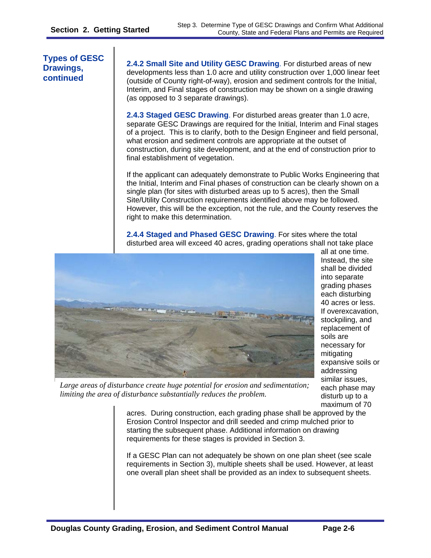**Types of GESC Drawings, continued** 

**2.4.2 Small Site and Utility GESC Drawing**. For disturbed areas of new developments less than 1.0 acre and utility construction over 1,000 linear feet (outside of County right-of-way), erosion and sediment controls for the Initial, Interim, and Final stages of construction may be shown on a single drawing (as opposed to 3 separate drawings).

**2.4.3 Staged GESC Drawing**. For disturbed areas greater than 1.0 acre, separate GESC Drawings are required for the Initial, Interim and Final stages of a project. This is to clarify, both to the Design Engineer and field personal, what erosion and sediment controls are appropriate at the outset of construction, during site development, and at the end of construction prior to final establishment of vegetation.

If the applicant can adequately demonstrate to Public Works Engineering that the Initial, Interim and Final phases of construction can be clearly shown on a single plan (for sites with disturbed areas up to 5 acres), then the Small Site/Utility Construction requirements identified above may be followed. However, this will be the exception, not the rule, and the County reserves the right to make this determination.

**2.4.4 Staged and Phased GESC Drawing**. For sites where the total disturbed area will exceed 40 acres, grading operations shall not take place



all at one time. Instead, the site shall be divided into separate grading phases each disturbing 40 acres or less. If overexcavation, stockpiling, and replacement of soils are necessary for mitigating expansive soils or addressing similar issues, each phase may disturb up to a maximum of 70

*Large areas of disturbance create huge potential for erosion and sedimentation; limiting the area of disturbance substantially reduces the problem.* 

acres. During construction, each grading phase shall be approved by the Erosion Control Inspector and drill seeded and crimp mulched prior to starting the subsequent phase. Additional information on drawing requirements for these stages is provided in Section 3.

If a GESC Plan can not adequately be shown on one plan sheet (see scale requirements in Section 3), multiple sheets shall be used. However, at least one overall plan sheet shall be provided as an index to subsequent sheets.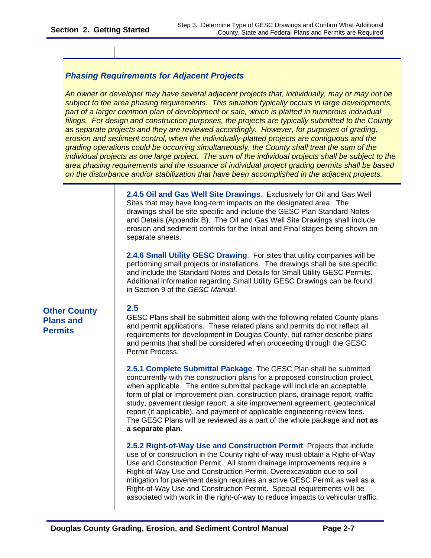#### *Phasing Requirements for Adjacent Projects*

*An owner or developer may have several adjacent projects that, individually, may or may not be subject to the area phasing requirements. This situation typically occurs in large developments,*  part of a larger common plan of development or sale, which is platted in numerous individual *filings. For design and construction purposes, the projects are typically submitted to the County as separate projects and they are reviewed accordingly. However, for purposes of grading, erosion and sediment control, when the individually-platted projects are contiguous and the grading operations could be occurring simultaneously, the County shall treat the sum of the individual projects as one large project. The sum of the individual projects shall be subject to the area phasing requirements and the issuance of individual project grading permits shall be based on the disturbance and/or stabilization that have been accomplished in the adjacent projects.* 

> **2.4.5 Oil and Gas Well Site Drawings**. Exclusively for Oil and Gas Well Sites that may have long-term impacts on the designated area. The drawings shall be site specific and include the GESC Plan Standard Notes and Details (Appendix B). The Oil and Gas Well Site Drawings shall include erosion and sediment controls for the Initial and Final stages being shown on separate sheets. **2.4.6 Small Utility GESC Drawing**. For sites that utility companies will be

performing small projects or installations. The drawings shall be site specific and include the Standard Notes and Details for Small Utility GESC Permits. Additional information regarding Small Utility GESC Drawings can be found in Section 9 of the *GESC Manual*.

# **Other County** 2.5 **Plans and Permits**

GESC Plans shall be submitted along with the following related County plans and permit applications. These related plans and permits do not reflect all requirements for development in Douglas County, but rather describe plans and permits that shall be considered when proceeding through the GESC Permit Process.

**2.5.1 Complete Submittal Package**. The GESC Plan shall be submitted concurrently with the construction plans for a proposed construction project, when applicable. The entire submittal package will include an acceptable form of plat or improvement plan, construction plans, drainage report, traffic study, pavement design report, a site improvement agreement, geotechnical report (if applicable), and payment of applicable engineering review fees. The GESC Plans will be reviewed as a part of the whole package and **not as a separate plan**.

**2.5.2 Right-of-Way Use and Construction Permit**. Projects that include use of or construction in the County right-of-way must obtain a Right-of-Way Use and Construction Permit. All storm drainage improvements require a Right-of-Way Use and Construction Permit. Overexcavation due to soil mitigation for pavement design requires an active GESC Permit as well as a Right-of-Way Use and Construction Permit. Special requirements will be associated with work in the right-of-way to reduce impacts to vehicular traffic.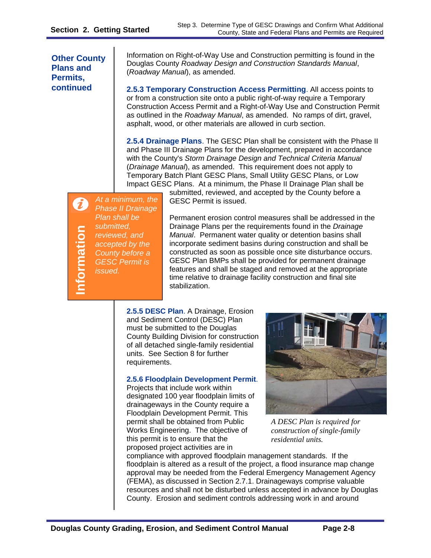**Other County Plans and Permits,** 

Information on Right-of-Way Use and Construction permitting is found in the Douglas County *Roadway Design and Construction Standards Manual*, (*Roadway Manual*), as amended.

**continued 2.5.3 Temporary Construction Access Permitting. All access points to** or from a construction site onto a public right-of-way require a Temporary Construction Access Permit and a Right-of-Way Use and Construction Permit as outlined in the *Roadway Manual*, as amended. No ramps of dirt, gravel, asphalt, wood, or other materials are allowed in curb section.

> **2.5.4 Drainage Plans**. The GESC Plan shall be consistent with the Phase II and Phase III Drainage Plans for the development, prepared in accordance with the County's *Storm Drainage Design and Technical Criteria Manual* (*Drainage Manual*), as amended. This requirement does not apply to Temporary Batch Plant GESC Plans, Small Utility GESC Plans, or Low Impact GESC Plans. At a minimum, the Phase II Drainage Plan shall be

*At a minimum, the Phase II Drainage Plan shall be*  **Information**  *submitted,*  formation *reviewed, and accepted by the County before a GESC Permit is issued.* 

submitted, reviewed, and accepted by the County before a GESC Permit is issued.

Permanent erosion control measures shall be addressed in the Drainage Plans per the requirements found in the *Drainage Manual*. Permanent water quality or detention basins shall incorporate sediment basins during construction and shall be constructed as soon as possible once site disturbance occurs. GESC Plan BMPs shall be provided for permanent drainage features and shall be staged and removed at the appropriate time relative to drainage facility construction and final site stabilization.

**2.5.5 DESC Plan**. A Drainage, Erosion and Sediment Control (DESC) Plan must be submitted to the Douglas County Building Division for construction of all detached single-family residential units. See Section 8 for further requirements.

#### **2.5.6 Floodplain Development Permit**.

Projects that include work within designated 100 year floodplain limits of drainageways in the County require a Floodplain Development Permit. This permit shall be obtained from Public Works Engineering. The objective of this permit is to ensure that the proposed project activities are in



*A DESC Plan is required for construction of single-family residential units.* 

compliance with approved floodplain management standards. If the floodplain is altered as a result of the project, a flood insurance map change approval may be needed from the Federal Emergency Management Agency (FEMA), as discussed in Section 2.7.1. Drainageways comprise valuable resources and shall not be disturbed unless accepted in advance by Douglas County. Erosion and sediment controls addressing work in and around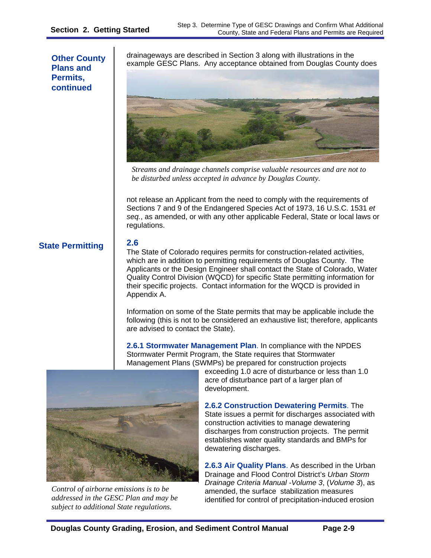#### **Other County Plans and Permits, continued**

drainageways are described in Section 3 along with illustrations in the example GESC Plans. Any acceptance obtained from Douglas County does



*Streams and drainage channels comprise valuable resources and are not to be disturbed unless accepted in advance by Douglas County.* 

not release an Applicant from the need to comply with the requirements of Sections 7 and 9 of the Endangered Species Act of 1973, 16 U.S.C. 1531 *et seq.*, as amended, or with any other applicable Federal, State or local laws or regulations.

# **State Permitting**

**2.6** 

The State of Colorado requires permits for construction-related activities, which are in addition to permitting requirements of Douglas County. The Applicants or the Design Engineer shall contact the State of Colorado, Water Quality Control Division (WQCD) for specific State permitting information for their specific projects. Contact information for the WQCD is provided in Appendix A.

Information on some of the State permits that may be applicable include the following (this is not to be considered an exhaustive list; therefore, applicants are advised to contact the State).

**2.6.1 Stormwater Management Plan**. In compliance with the NPDES Stormwater Permit Program, the State requires that Stormwater Management Plans (SWMPs) be prepared for construction projects



*Control of airborne emissions is to be addressed in the GESC Plan and may be subject to additional State regulations.* 

exceeding 1.0 acre of disturbance or less than 1.0 acre of disturbance part of a larger plan of development.

**2.6.2 Construction Dewatering Permits**. The State issues a permit for discharges associated with construction activities to manage dewatering discharges from construction projects. The permit establishes water quality standards and BMPs for dewatering discharges.

**2.6.3 Air Quality Plans**. As described in the Urban Drainage and Flood Control District's *Urban Storm Drainage Criteria Manual -Volume 3*, (*Volume 3*), as amended, the surface stabilization measures identified for control of precipitation-induced erosion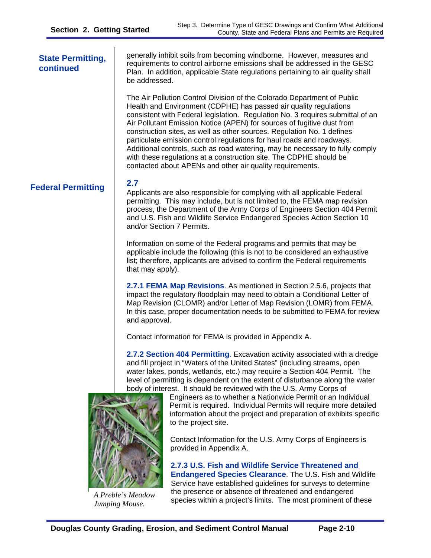| <b>State Permitting,</b><br>continued | generally inhibit soils from becoming windborne. However, measures and<br>requirements to control airborne emissions shall be addressed in the GESC<br>Plan. In addition, applicable State regulations pertaining to air quality shall<br>be addressed.                                                                                                                                                                                                                                                                                                                                                                                                                        |  |  |  |
|---------------------------------------|--------------------------------------------------------------------------------------------------------------------------------------------------------------------------------------------------------------------------------------------------------------------------------------------------------------------------------------------------------------------------------------------------------------------------------------------------------------------------------------------------------------------------------------------------------------------------------------------------------------------------------------------------------------------------------|--|--|--|
|                                       | The Air Pollution Control Division of the Colorado Department of Public<br>Health and Environment (CDPHE) has passed air quality regulations<br>consistent with Federal legislation. Regulation No. 3 requires submittal of an<br>Air Pollutant Emission Notice (APEN) for sources of fugitive dust from<br>construction sites, as well as other sources. Regulation No. 1 defines<br>particulate emission control regulations for haul roads and roadways.<br>Additional controls, such as road watering, may be necessary to fully comply<br>with these regulations at a construction site. The CDPHE should be<br>contacted about APENs and other air quality requirements. |  |  |  |
| <b>Federal Permitting</b>             | 2.7<br>Applicants are also responsible for complying with all applicable Federal<br>permitting. This may include, but is not limited to, the FEMA map revision<br>process, the Department of the Army Corps of Engineers Section 404 Permit<br>and U.S. Fish and Wildlife Service Endangered Species Action Section 10<br>and/or Section 7 Permits.                                                                                                                                                                                                                                                                                                                            |  |  |  |
|                                       | Information on some of the Federal programs and permits that may be<br>applicable include the following (this is not to be considered an exhaustive<br>list; therefore, applicants are advised to confirm the Federal requirements<br>that may apply).                                                                                                                                                                                                                                                                                                                                                                                                                         |  |  |  |
|                                       | 2.7.1 FEMA Map Revisions. As mentioned in Section 2.5.6, projects that<br>impact the regulatory floodplain may need to obtain a Conditional Letter of<br>Map Revision (CLOMR) and/or Letter of Map Revision (LOMR) from FEMA.<br>In this case, proper documentation needs to be submitted to FEMA for review<br>and approval.                                                                                                                                                                                                                                                                                                                                                  |  |  |  |
|                                       | Contact information for FEMA is provided in Appendix A.                                                                                                                                                                                                                                                                                                                                                                                                                                                                                                                                                                                                                        |  |  |  |
|                                       | 2.7.2 Section 404 Permitting. Excavation activity associated with a dredge<br>and fill project in "Waters of the United States" (including streams, open<br>water lakes, ponds, wetlands, etc.) may require a Section 404 Permit. The<br>level of permitting is dependent on the extent of disturbance along the water<br>body of interest. It should be reviewed with the U.S. Army Corps of<br>Engineers as to whether a Nationwide Permit or an Individual<br>Permit is required. Individual Permits will require more detailed<br>information about the project and preparation of exhibits specific<br>to the project site.                                               |  |  |  |
|                                       | Contact Information for the U.S. Army Corps of Engineers is<br>provided in Appendix A.<br>2.7.3 U.S. Fish and Wildlife Service Threatened and                                                                                                                                                                                                                                                                                                                                                                                                                                                                                                                                  |  |  |  |

**Endangered Species Clearance**. The U.S. Fish and Wildlife Service have established guidelines for surveys to determine the presence or absence of threatened and endangered species within a project's limits. The most prominent of these

*A Preble's Meadow Jumping Mouse.*